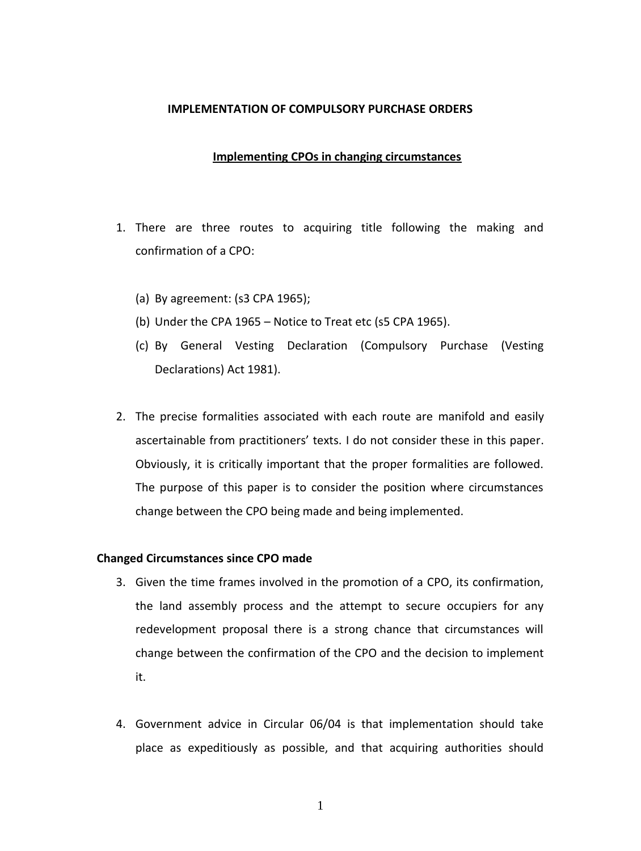#### **IMPLEMENTATION OF COMPULSORY PURCHASE ORDERS**

# **Implementing CPOs in changing circumstances**

- 1. There are three routes to acquiring title following the making and confirmation of a CPO:
	- (a) By agreement: (s3 CPA 1965);
	- (b) Under the CPA 1965 Notice to Treat etc (s5 CPA 1965).
	- (c) By General Vesting Declaration (Compulsory Purchase (Vesting Declarations) Act 1981).
- 2. The precise formalities associated with each route are manifold and easily ascertainable from practitioners' texts. I do not consider these in this paper. Obviously, it is critically important that the proper formalities are followed. The purpose of this paper is to consider the position where circumstances change between the CPO being made and being implemented.

### **Changed Circumstances since CPO made**

- 3. Given the time frames involved in the promotion of a CPO, its confirmation, the land assembly process and the attempt to secure occupiers for any redevelopment proposal there is a strong chance that circumstances will change between the confirmation of the CPO and the decision to implement it.
- 4. Government advice in Circular 06/04 is that implementation should take place as expeditiously as possible, and that acquiring authorities should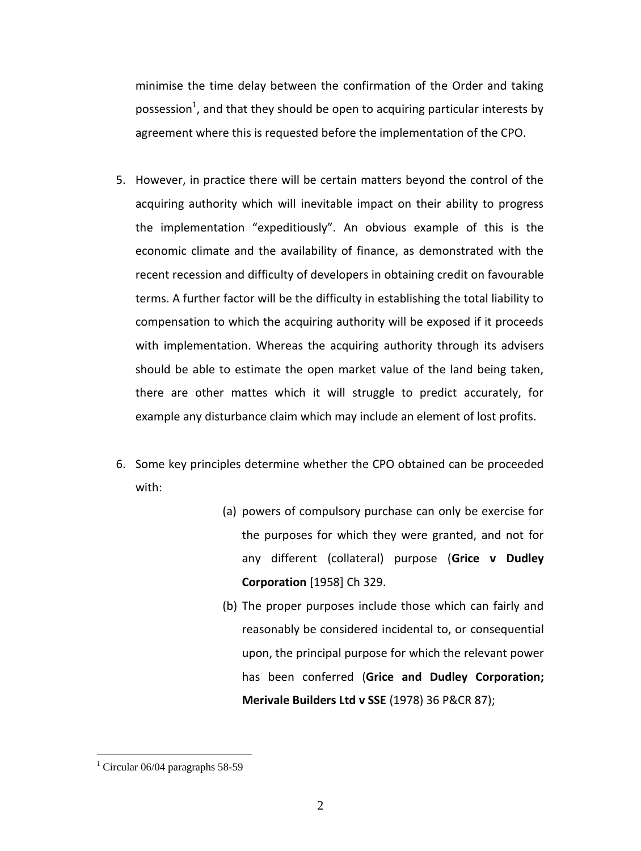minimise the time delay between the confirmation of the Order and taking possession<sup>1</sup>, and that they should be open to acquiring particular interests by agreement where this is requested before the implementation of the CPO.

- 5. However, in practice there will be certain matters beyond the control of the acquiring authority which will inevitable impact on their ability to progress the implementation "expeditiously". An obvious example of this is the economic climate and the availability of finance, as demonstrated with the recent recession and difficulty of developers in obtaining credit on favourable terms. A further factor will be the difficulty in establishing the total liability to compensation to which the acquiring authority will be exposed if it proceeds with implementation. Whereas the acquiring authority through its advisers should be able to estimate the open market value of the land being taken, there are other mattes which it will struggle to predict accurately, for example any disturbance claim which may include an element of lost profits.
- 6. Some key principles determine whether the CPO obtained can be proceeded with:
	- (a) powers of compulsory purchase can only be exercise for the purposes for which they were granted, and not for any different (collateral) purpose (**Grice v Dudley Corporation** [1958] Ch 329.
	- (b) The proper purposes include those which can fairly and reasonably be considered incidental to, or consequential upon, the principal purpose for which the relevant power has been conferred (**Grice and Dudley Corporation; Merivale Builders Ltd v SSE** (1978) 36 P&CR 87);

<sup>&</sup>lt;sup>1</sup> Circular 06/04 paragraphs 58-59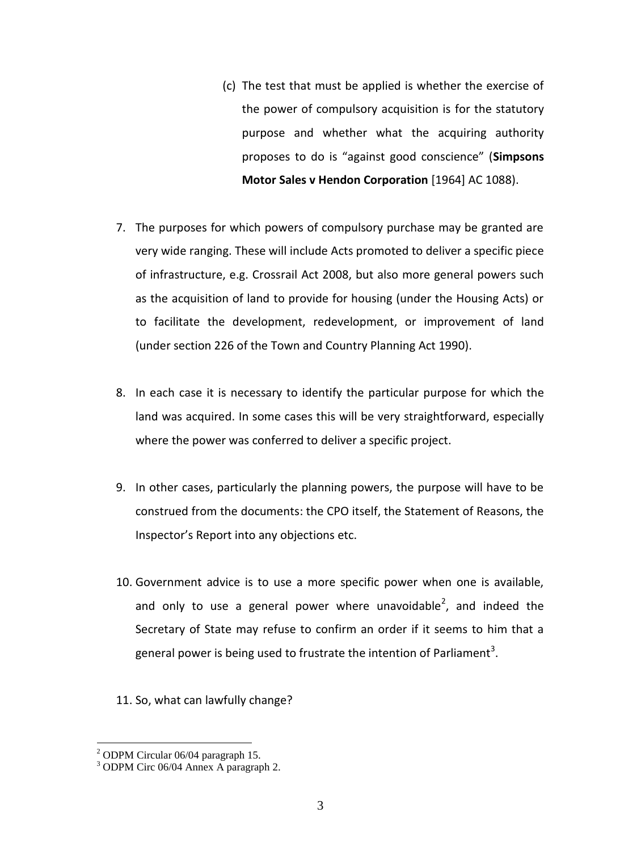- (c) The test that must be applied is whether the exercise of the power of compulsory acquisition is for the statutory purpose and whether what the acquiring authority proposes to do is "against good conscience" (**Simpsons Motor Sales v Hendon Corporation** [1964] AC 1088).
- 7. The purposes for which powers of compulsory purchase may be granted are very wide ranging. These will include Acts promoted to deliver a specific piece of infrastructure, e.g. Crossrail Act 2008, but also more general powers such as the acquisition of land to provide for housing (under the Housing Acts) or to facilitate the development, redevelopment, or improvement of land (under section 226 of the Town and Country Planning Act 1990).
- 8. In each case it is necessary to identify the particular purpose for which the land was acquired. In some cases this will be very straightforward, especially where the power was conferred to deliver a specific project.
- 9. In other cases, particularly the planning powers, the purpose will have to be construed from the documents: the CPO itself, the Statement of Reasons, the Inspector's Report into any objections etc.
- 10. Government advice is to use a more specific power when one is available, and only to use a general power where unavoidable<sup>2</sup>, and indeed the Secretary of State may refuse to confirm an order if it seems to him that a general power is being used to frustrate the intention of Parliament<sup>3</sup>.
- 11. So, what can lawfully change?

 $2$  ODPM Circular 06/04 paragraph 15.

<sup>3</sup> ODPM Circ 06/04 Annex A paragraph 2.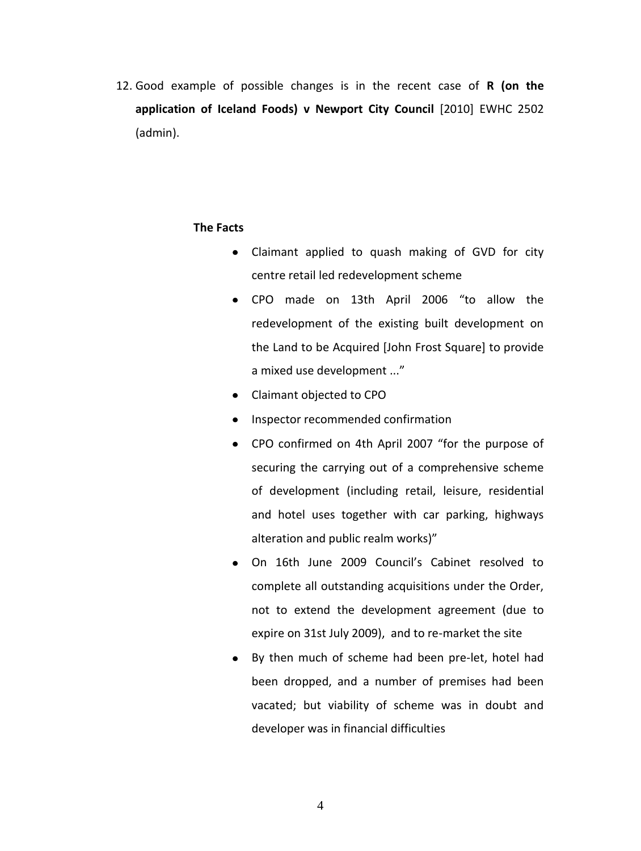12. Good example of possible changes is in the recent case of **R (on the application of Iceland Foods) v Newport City Council** [2010] EWHC 2502 (admin).

#### **The Facts**

- Claimant applied to quash making of GVD for city centre retail led redevelopment scheme
- CPO made on 13th April 2006 "to allow the redevelopment of the existing built development on the Land to be Acquired [John Frost Square] to provide a mixed use development ..."
- Claimant objected to CPO
- Inspector recommended confirmation
- CPO confirmed on 4th April 2007 "for the purpose of securing the carrying out of a comprehensive scheme of development (including retail, leisure, residential and hotel uses together with car parking, highways alteration and public realm works)"
- On 16th June 2009 Council's Cabinet resolved to complete all outstanding acquisitions under the Order, not to extend the development agreement (due to expire on 31st July 2009), and to re-market the site
- By then much of scheme had been pre-let, hotel had been dropped, and a number of premises had been vacated; but viability of scheme was in doubt and developer was in financial difficulties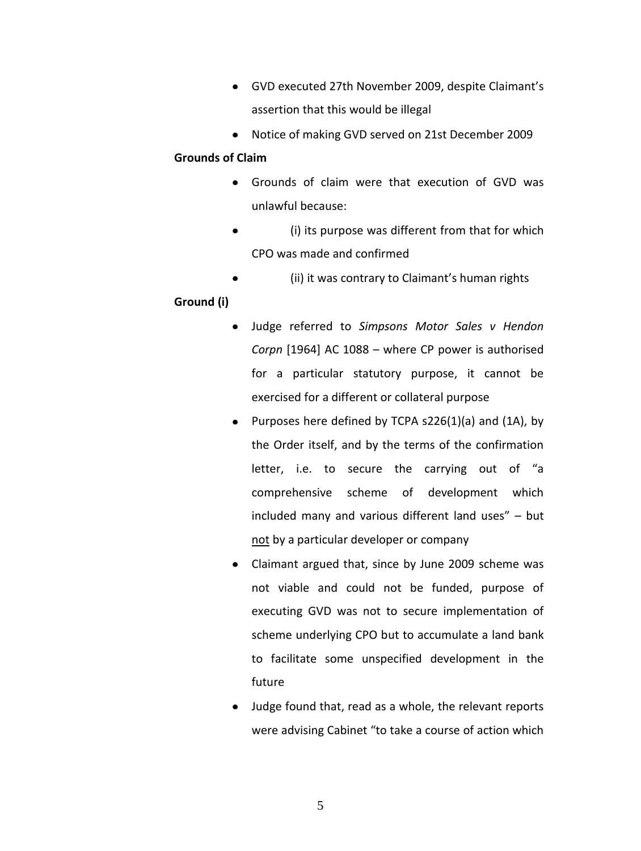- GVD executed 27th November 2009, despite Claimant's assertion that this would be illegal
- Notice of making GVD served on 21st December 2009

## **Grounds of Claim**

- Grounds of claim were that execution of GVD was unlawful because:
- $\bullet$ (i) its purpose was different from that for which CPO was made and confirmed
- (ii) it was contrary to Claimant's human rights  $\bullet$

# **Ground (i)**

- Judge referred to *Simpsons Motor Sales v Hendon Corpn* [1964] AC 1088 – where CP power is authorised for a particular statutory purpose, it cannot be exercised for a different or collateral purpose
- Purposes here defined by TCPA  $s226(1)(a)$  and (1A), by the Order itself, and by the terms of the confirmation letter, i.e. to secure the carrying out of "a comprehensive scheme of development which included many and various different land uses" – but not by a particular developer or company
- Claimant argued that, since by June 2009 scheme was not viable and could not be funded, purpose of executing GVD was not to secure implementation of scheme underlying CPO but to accumulate a land bank to facilitate some unspecified development in the future
- Judge found that, read as a whole, the relevant reports were advising Cabinet "to take a course of action which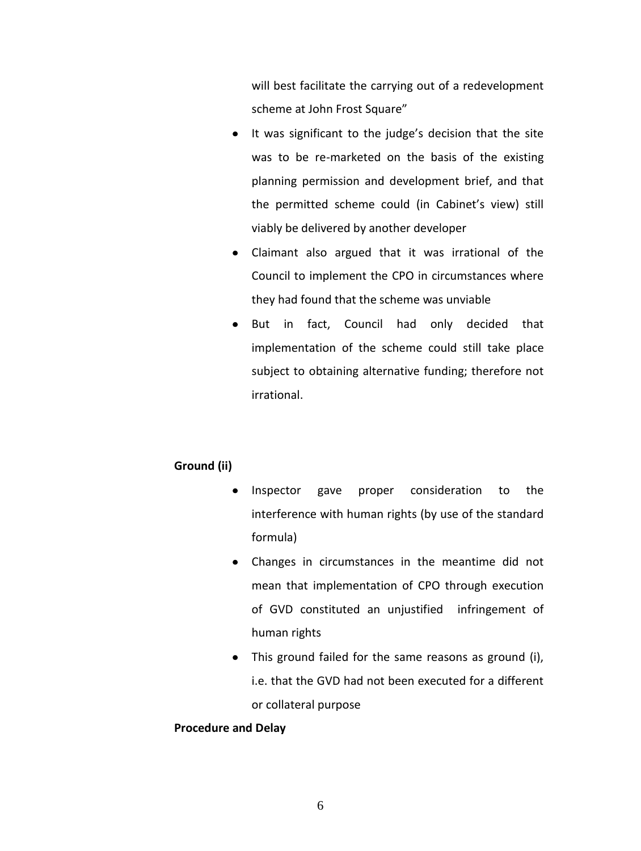will best facilitate the carrying out of a redevelopment scheme at John Frost Square"

- $\bullet$ It was significant to the judge's decision that the site was to be re-marketed on the basis of the existing planning permission and development brief, and that the permitted scheme could (in Cabinet's view) still viably be delivered by another developer
- Claimant also argued that it was irrational of the Council to implement the CPO in circumstances where they had found that the scheme was unviable
- But in fact, Council had only decided that implementation of the scheme could still take place subject to obtaining alternative funding; therefore not irrational.

# **Ground (ii)**

- Inspector gave proper consideration to the  $\bullet$ interference with human rights (by use of the standard formula)
- Changes in circumstances in the meantime did not mean that implementation of CPO through execution of GVD constituted an unjustified infringement of human rights
- This ground failed for the same reasons as ground (i), i.e. that the GVD had not been executed for a different or collateral purpose

### **Procedure and Delay**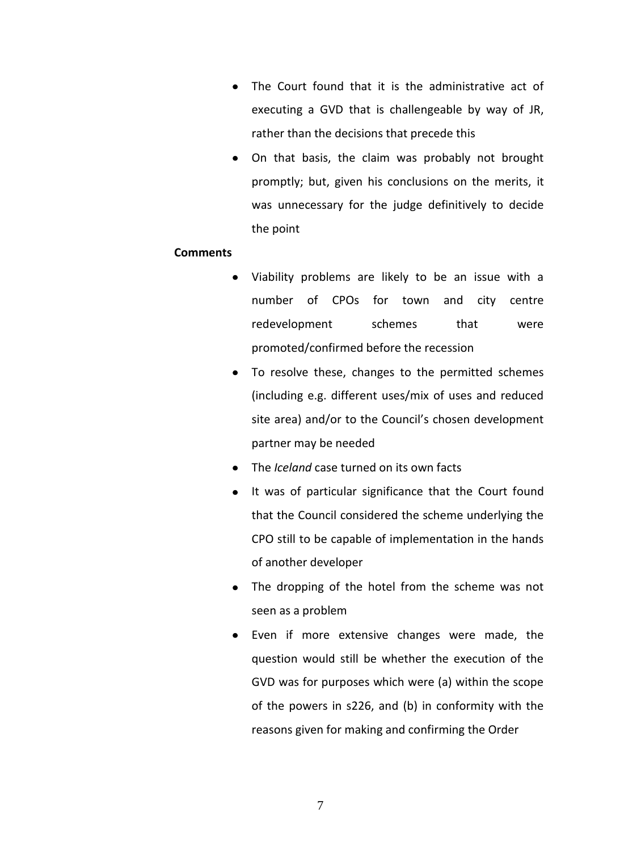- The Court found that it is the administrative act of executing a GVD that is challengeable by way of JR, rather than the decisions that precede this
- On that basis, the claim was probably not brought promptly; but, given his conclusions on the merits, it was unnecessary for the judge definitively to decide the point

#### **Comments**

- Viability problems are likely to be an issue with a  $\bullet$ number of CPOs for town and city centre redevelopment schemes that were promoted/confirmed before the recession
- To resolve these, changes to the permitted schemes (including e.g. different uses/mix of uses and reduced site area) and/or to the Council's chosen development partner may be needed
- The *Iceland* case turned on its own facts
- It was of particular significance that the Court found that the Council considered the scheme underlying the CPO still to be capable of implementation in the hands of another developer
- The dropping of the hotel from the scheme was not seen as a problem
- Even if more extensive changes were made, the question would still be whether the execution of the GVD was for purposes which were (a) within the scope of the powers in s226, and (b) in conformity with the reasons given for making and confirming the Order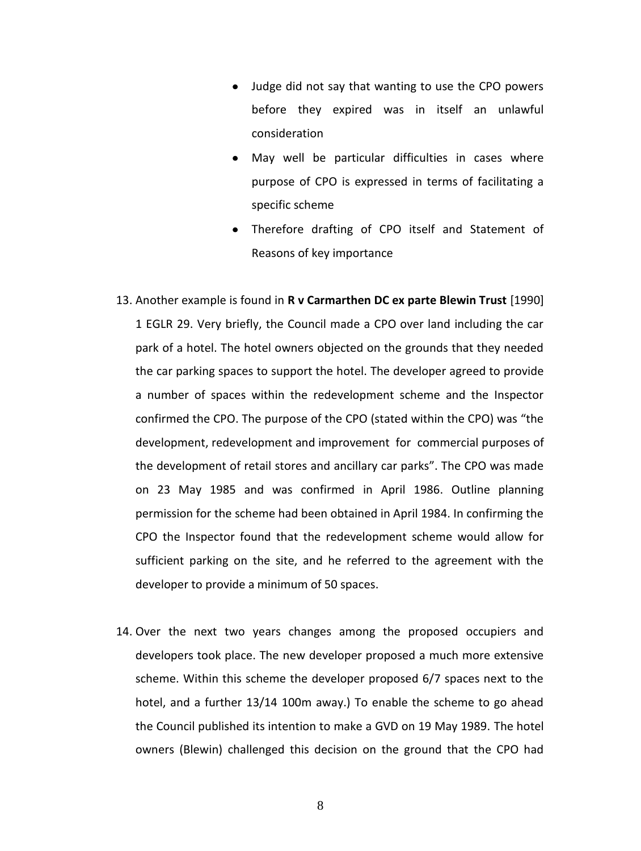- Judge did not say that wanting to use the CPO powers before they expired was in itself an unlawful consideration
- May well be particular difficulties in cases where purpose of CPO is expressed in terms of facilitating a specific scheme
- Therefore drafting of CPO itself and Statement of Reasons of key importance
- 13. Another example is found in **R v Carmarthen DC ex parte Blewin Trust** [1990] 1 EGLR 29. Very briefly, the Council made a CPO over land including the car park of a hotel. The hotel owners objected on the grounds that they needed the car parking spaces to support the hotel. The developer agreed to provide a number of spaces within the redevelopment scheme and the Inspector confirmed the CPO. The purpose of the CPO (stated within the CPO) was "the development, redevelopment and improvement for commercial purposes of the development of retail stores and ancillary car parks". The CPO was made on 23 May 1985 and was confirmed in April 1986. Outline planning permission for the scheme had been obtained in April 1984. In confirming the CPO the Inspector found that the redevelopment scheme would allow for sufficient parking on the site, and he referred to the agreement with the developer to provide a minimum of 50 spaces.
- 14. Over the next two years changes among the proposed occupiers and developers took place. The new developer proposed a much more extensive scheme. Within this scheme the developer proposed 6/7 spaces next to the hotel, and a further 13/14 100m away.) To enable the scheme to go ahead the Council published its intention to make a GVD on 19 May 1989. The hotel owners (Blewin) challenged this decision on the ground that the CPO had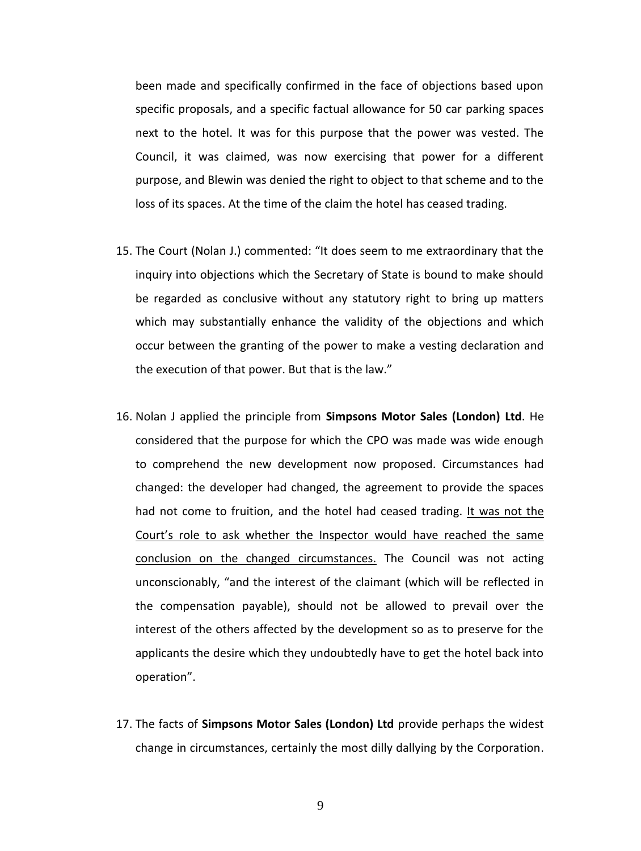been made and specifically confirmed in the face of objections based upon specific proposals, and a specific factual allowance for 50 car parking spaces next to the hotel. It was for this purpose that the power was vested. The Council, it was claimed, was now exercising that power for a different purpose, and Blewin was denied the right to object to that scheme and to the loss of its spaces. At the time of the claim the hotel has ceased trading.

- 15. The Court (Nolan J.) commented: "It does seem to me extraordinary that the inquiry into objections which the Secretary of State is bound to make should be regarded as conclusive without any statutory right to bring up matters which may substantially enhance the validity of the objections and which occur between the granting of the power to make a vesting declaration and the execution of that power. But that is the law."
- 16. Nolan J applied the principle from **Simpsons Motor Sales (London) Ltd**. He considered that the purpose for which the CPO was made was wide enough to comprehend the new development now proposed. Circumstances had changed: the developer had changed, the agreement to provide the spaces had not come to fruition, and the hotel had ceased trading. It was not the Court's role to ask whether the Inspector would have reached the same conclusion on the changed circumstances. The Council was not acting unconscionably, "and the interest of the claimant (which will be reflected in the compensation payable), should not be allowed to prevail over the interest of the others affected by the development so as to preserve for the applicants the desire which they undoubtedly have to get the hotel back into operation".
- 17. The facts of **Simpsons Motor Sales (London) Ltd** provide perhaps the widest change in circumstances, certainly the most dilly dallying by the Corporation.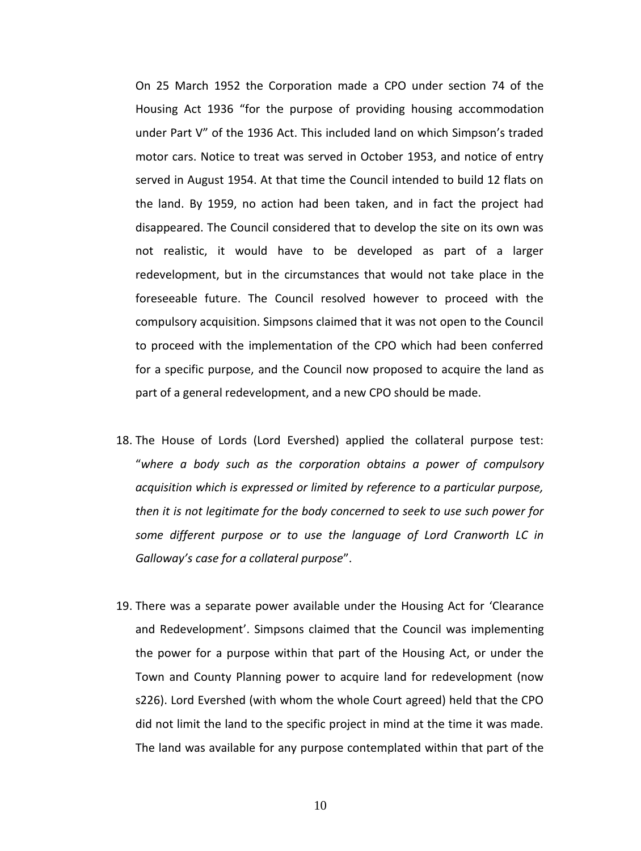On 25 March 1952 the Corporation made a CPO under section 74 of the Housing Act 1936 "for the purpose of providing housing accommodation under Part V" of the 1936 Act. This included land on which Simpson's traded motor cars. Notice to treat was served in October 1953, and notice of entry served in August 1954. At that time the Council intended to build 12 flats on the land. By 1959, no action had been taken, and in fact the project had disappeared. The Council considered that to develop the site on its own was not realistic, it would have to be developed as part of a larger redevelopment, but in the circumstances that would not take place in the foreseeable future. The Council resolved however to proceed with the compulsory acquisition. Simpsons claimed that it was not open to the Council to proceed with the implementation of the CPO which had been conferred for a specific purpose, and the Council now proposed to acquire the land as part of a general redevelopment, and a new CPO should be made.

- 18. The House of Lords (Lord Evershed) applied the collateral purpose test: "*where a body such as the corporation obtains a power of compulsory acquisition which is expressed or limited by reference to a particular purpose, then it is not legitimate for the body concerned to seek to use such power for some different purpose or to use the language of Lord Cranworth LC in Galloway's case for a collateral purpose*".
- 19. There was a separate power available under the Housing Act for 'Clearance and Redevelopment'. Simpsons claimed that the Council was implementing the power for a purpose within that part of the Housing Act, or under the Town and County Planning power to acquire land for redevelopment (now s226). Lord Evershed (with whom the whole Court agreed) held that the CPO did not limit the land to the specific project in mind at the time it was made. The land was available for any purpose contemplated within that part of the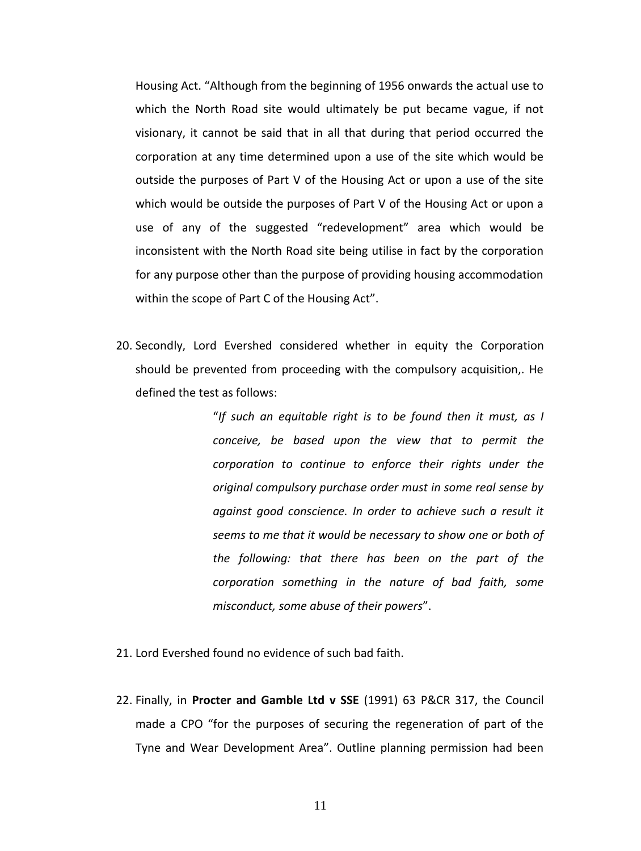Housing Act. "Although from the beginning of 1956 onwards the actual use to which the North Road site would ultimately be put became vague, if not visionary, it cannot be said that in all that during that period occurred the corporation at any time determined upon a use of the site which would be outside the purposes of Part V of the Housing Act or upon a use of the site which would be outside the purposes of Part V of the Housing Act or upon a use of any of the suggested "redevelopment" area which would be inconsistent with the North Road site being utilise in fact by the corporation for any purpose other than the purpose of providing housing accommodation within the scope of Part C of the Housing Act".

20. Secondly, Lord Evershed considered whether in equity the Corporation should be prevented from proceeding with the compulsory acquisition,. He defined the test as follows:

> "*If such an equitable right is to be found then it must, as I conceive, be based upon the view that to permit the corporation to continue to enforce their rights under the original compulsory purchase order must in some real sense by against good conscience. In order to achieve such a result it seems to me that it would be necessary to show one or both of the following: that there has been on the part of the corporation something in the nature of bad faith, some misconduct, some abuse of their powers*".

- 21. Lord Evershed found no evidence of such bad faith.
- 22. Finally, in **Procter and Gamble Ltd v SSE** (1991) 63 P&CR 317, the Council made a CPO "for the purposes of securing the regeneration of part of the Tyne and Wear Development Area". Outline planning permission had been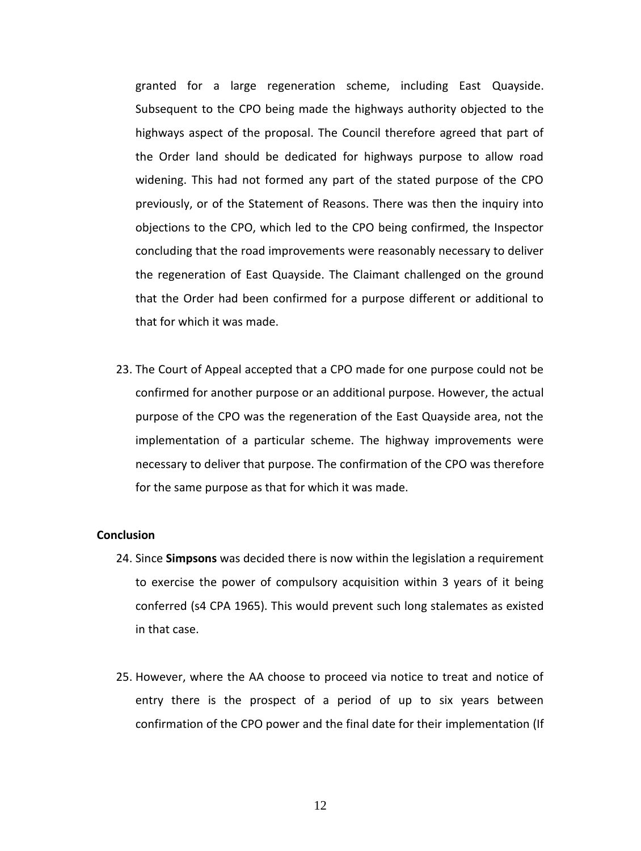granted for a large regeneration scheme, including East Quayside. Subsequent to the CPO being made the highways authority objected to the highways aspect of the proposal. The Council therefore agreed that part of the Order land should be dedicated for highways purpose to allow road widening. This had not formed any part of the stated purpose of the CPO previously, or of the Statement of Reasons. There was then the inquiry into objections to the CPO, which led to the CPO being confirmed, the Inspector concluding that the road improvements were reasonably necessary to deliver the regeneration of East Quayside. The Claimant challenged on the ground that the Order had been confirmed for a purpose different or additional to that for which it was made.

23. The Court of Appeal accepted that a CPO made for one purpose could not be confirmed for another purpose or an additional purpose. However, the actual purpose of the CPO was the regeneration of the East Quayside area, not the implementation of a particular scheme. The highway improvements were necessary to deliver that purpose. The confirmation of the CPO was therefore for the same purpose as that for which it was made.

#### **Conclusion**

- 24. Since **Simpsons** was decided there is now within the legislation a requirement to exercise the power of compulsory acquisition within 3 years of it being conferred (s4 CPA 1965). This would prevent such long stalemates as existed in that case.
- 25. However, where the AA choose to proceed via notice to treat and notice of entry there is the prospect of a period of up to six years between confirmation of the CPO power and the final date for their implementation (If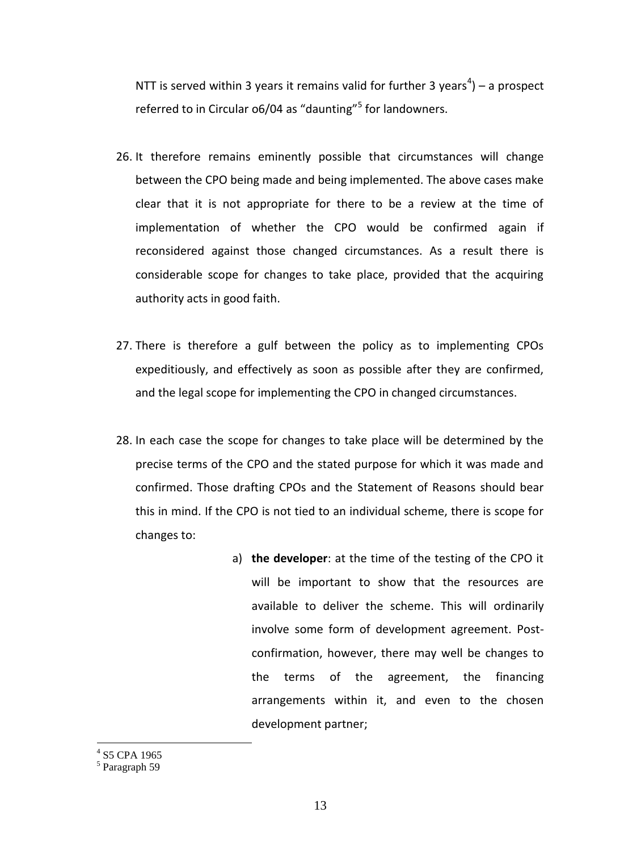NTT is served within 3 years it remains valid for further 3 years<sup>4</sup>) – a prospect referred to in Circular 06/04 as "daunting"<sup>5</sup> for landowners.

- 26. It therefore remains eminently possible that circumstances will change between the CPO being made and being implemented. The above cases make clear that it is not appropriate for there to be a review at the time of implementation of whether the CPO would be confirmed again if reconsidered against those changed circumstances. As a result there is considerable scope for changes to take place, provided that the acquiring authority acts in good faith.
- 27. There is therefore a gulf between the policy as to implementing CPOs expeditiously, and effectively as soon as possible after they are confirmed, and the legal scope for implementing the CPO in changed circumstances.
- 28. In each case the scope for changes to take place will be determined by the precise terms of the CPO and the stated purpose for which it was made and confirmed. Those drafting CPOs and the Statement of Reasons should bear this in mind. If the CPO is not tied to an individual scheme, there is scope for changes to:
	- a) **the developer**: at the time of the testing of the CPO it will be important to show that the resources are available to deliver the scheme. This will ordinarily involve some form of development agreement. Postconfirmation, however, there may well be changes to the terms of the agreement, the financing arrangements within it, and even to the chosen development partner;

<sup>4</sup> S5 CPA 1965

<sup>5</sup> Paragraph 59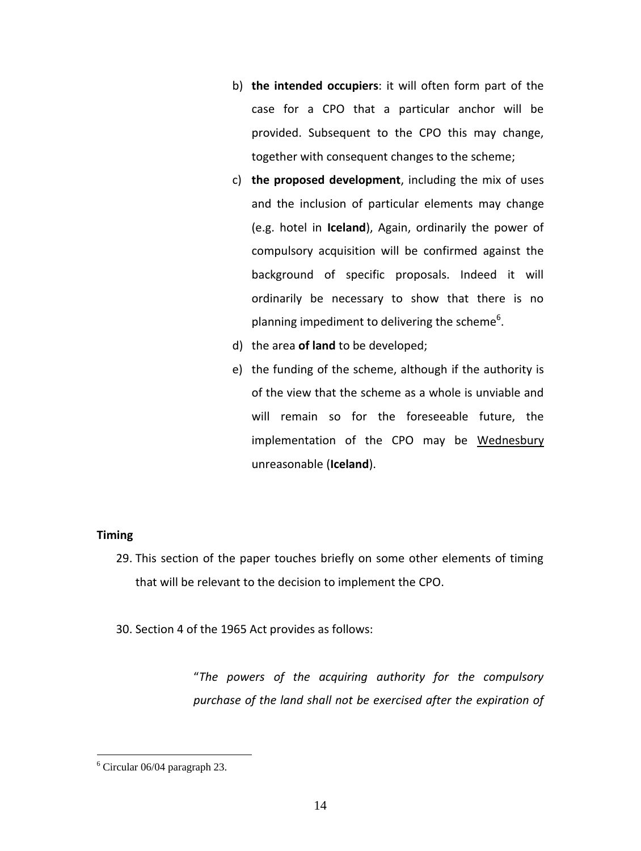- b) **the intended occupiers**: it will often form part of the case for a CPO that a particular anchor will be provided. Subsequent to the CPO this may change, together with consequent changes to the scheme;
- c) **the proposed development**, including the mix of uses and the inclusion of particular elements may change (e.g. hotel in **Iceland**), Again, ordinarily the power of compulsory acquisition will be confirmed against the background of specific proposals. Indeed it will ordinarily be necessary to show that there is no planning impediment to delivering the scheme<sup>6</sup>.
- d) the area **of land** to be developed;
- e) the funding of the scheme, although if the authority is of the view that the scheme as a whole is unviable and will remain so for the foreseeable future, the implementation of the CPO may be Wednesbury unreasonable (**Iceland**).

### **Timing**

 $\overline{a}$ 

29. This section of the paper touches briefly on some other elements of timing that will be relevant to the decision to implement the CPO.

30. Section 4 of the 1965 Act provides as follows:

"*The powers of the acquiring authority for the compulsory purchase of the land shall not be exercised after the expiration of* 

 $6$  Circular 06/04 paragraph 23.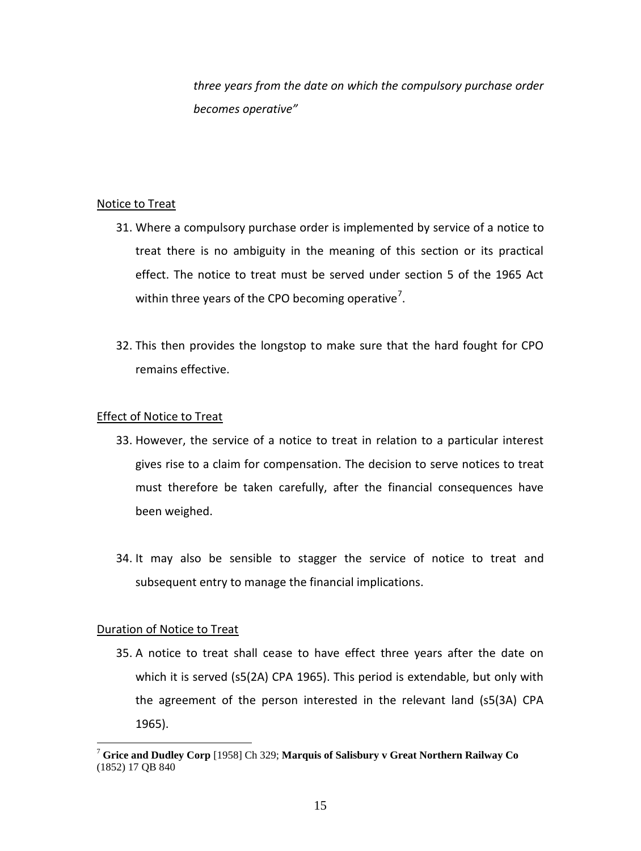*three years from the date on which the compulsory purchase order becomes operative"*

## Notice to Treat

- 31. Where a compulsory purchase order is implemented by service of a notice to treat there is no ambiguity in the meaning of this section or its practical effect. The notice to treat must be served under section 5 of the 1965 Act within three years of the CPO becoming operative<sup>7</sup>.
- 32. This then provides the longstop to make sure that the hard fought for CPO remains effective.

## Effect of Notice to Treat

- 33. However, the service of a notice to treat in relation to a particular interest gives rise to a claim for compensation. The decision to serve notices to treat must therefore be taken carefully, after the financial consequences have been weighed.
- 34. It may also be sensible to stagger the service of notice to treat and subsequent entry to manage the financial implications.

# Duration of Notice to Treat

 $\overline{a}$ 

35. A notice to treat shall cease to have effect three years after the date on which it is served (s5(2A) CPA 1965). This period is extendable, but only with the agreement of the person interested in the relevant land (s5(3A) CPA 1965).

<sup>7</sup> **Grice and Dudley Corp** [1958] Ch 329; **Marquis of Salisbury v Great Northern Railway Co** (1852) 17 QB 840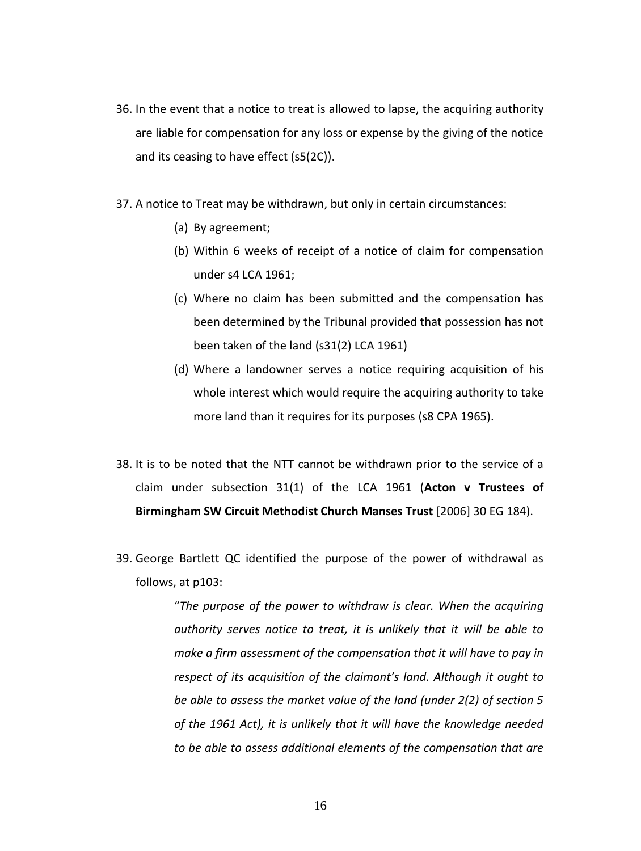- 36. In the event that a notice to treat is allowed to lapse, the acquiring authority are liable for compensation for any loss or expense by the giving of the notice and its ceasing to have effect (s5(2C)).
- 37. A notice to Treat may be withdrawn, but only in certain circumstances:
	- (a) By agreement;
	- (b) Within 6 weeks of receipt of a notice of claim for compensation under s4 LCA 1961;
	- (c) Where no claim has been submitted and the compensation has been determined by the Tribunal provided that possession has not been taken of the land (s31(2) LCA 1961)
	- (d) Where a landowner serves a notice requiring acquisition of his whole interest which would require the acquiring authority to take more land than it requires for its purposes (s8 CPA 1965).
- 38. It is to be noted that the NTT cannot be withdrawn prior to the service of a claim under subsection 31(1) of the LCA 1961 (**Acton v Trustees of Birmingham SW Circuit Methodist Church Manses Trust** [2006] 30 EG 184).
- 39. George Bartlett QC identified the purpose of the power of withdrawal as follows, at p103:

"*The purpose of the power to withdraw is clear. When the acquiring authority serves notice to treat, it is unlikely that it will be able to make a firm assessment of the compensation that it will have to pay in respect of its acquisition of the claimant's land. Although it ought to be able to assess the market value of the land (under 2(2) of section 5 of the 1961 Act), it is unlikely that it will have the knowledge needed to be able to assess additional elements of the compensation that are*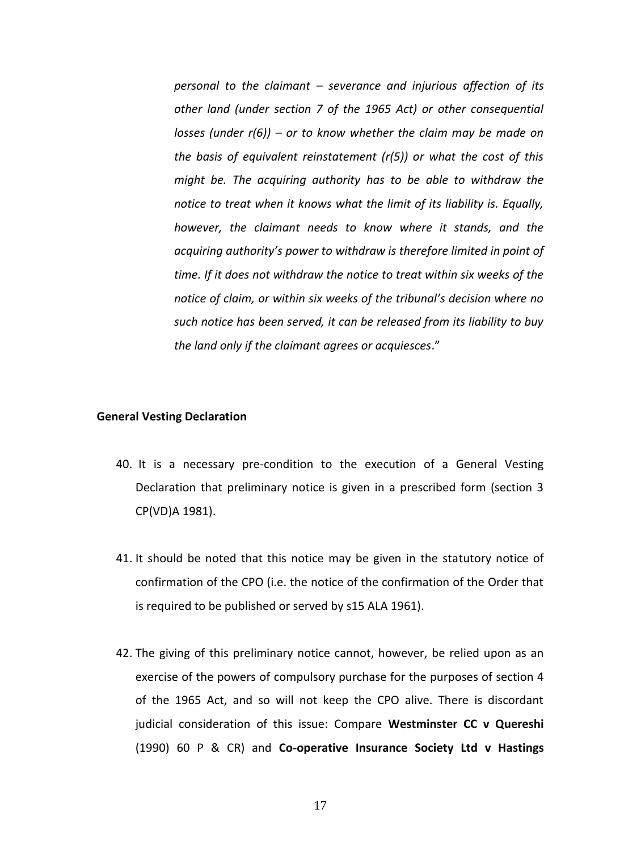*personal to the claimant – severance and injurious affection of its other land (under section 7 of the 1965 Act) or other consequential losses (under r(6)) – or to know whether the claim may be made on the basis of equivalent reinstatement (r(5)) or what the cost of this might be. The acquiring authority has to be able to withdraw the notice to treat when it knows what the limit of its liability is. Equally, however, the claimant needs to know where it stands, and the acquiring authority's power to withdraw is therefore limited in point of time. If it does not withdraw the notice to treat within six weeks of the notice of claim, or within six weeks of the tribunal's decision where no such notice has been served, it can be released from its liability to buy the land only if the claimant agrees or acquiesces*."

#### **General Vesting Declaration**

- 40. It is a necessary pre-condition to the execution of a General Vesting Declaration that preliminary notice is given in a prescribed form (section 3 CP(VD)A 1981).
- 41. It should be noted that this notice may be given in the statutory notice of confirmation of the CPO (i.e. the notice of the confirmation of the Order that is required to be published or served by s15 ALA 1961).
- 42. The giving of this preliminary notice cannot, however, be relied upon as an exercise of the powers of compulsory purchase for the purposes of section 4 of the 1965 Act, and so will not keep the CPO alive. There is discordant judicial consideration of this issue: Compare **Westminster CC v Quereshi**  (1990) 60 P & CR) and **Co-operative Insurance Society Ltd v Hastings**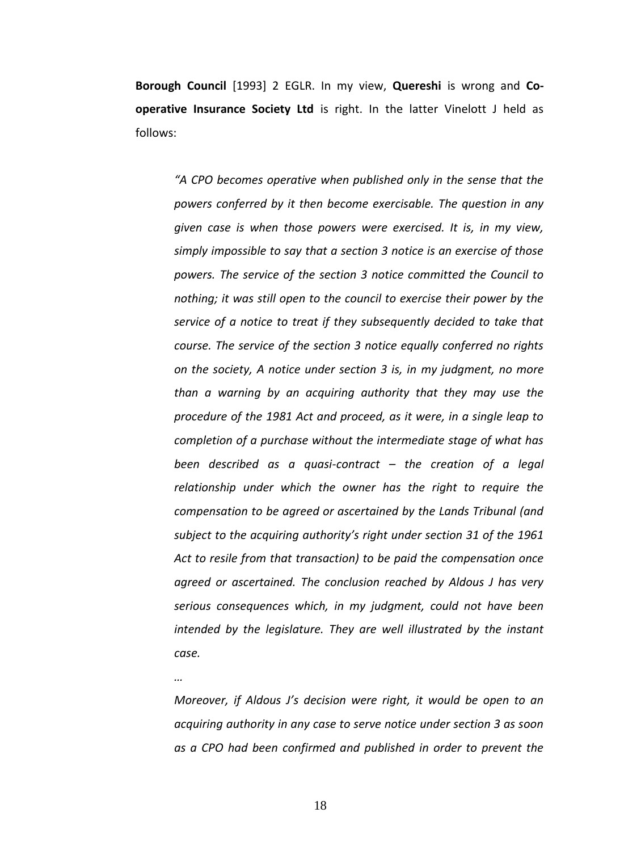**Borough Council** [1993] 2 EGLR. In my view, **Quereshi** is wrong and **Cooperative Insurance Society Ltd** is right. In the latter Vinelott J held as follows:

*"A CPO becomes operative when published only in the sense that the powers conferred by it then become exercisable. The question in any given case is when those powers were exercised. It is, in my view, simply impossible to say that a section 3 notice is an exercise of those powers. The service of the section 3 notice committed the Council to nothing; it was still open to the council to exercise their power by the service of a notice to treat if they subsequently decided to take that course. The service of the section 3 notice equally conferred no rights on the society, A notice under section 3 is, in my judgment, no more than a warning by an acquiring authority that they may use the procedure of the 1981 Act and proceed, as it were, in a single leap to completion of a purchase without the intermediate stage of what has been described as a quasi-contract – the creation of a legal relationship under which the owner has the right to require the compensation to be agreed or ascertained by the Lands Tribunal (and subject to the acquiring authority's right under section 31 of the 1961 Act to resile from that transaction) to be paid the compensation once agreed or ascertained. The conclusion reached by Aldous J has very serious consequences which, in my judgment, could not have been intended by the legislature. They are well illustrated by the instant case.*

*Moreover, if Aldous J's decision were right, it would be open to an acquiring authority in any case to serve notice under section 3 as soon as a CPO had been confirmed and published in order to prevent the* 

18

*…*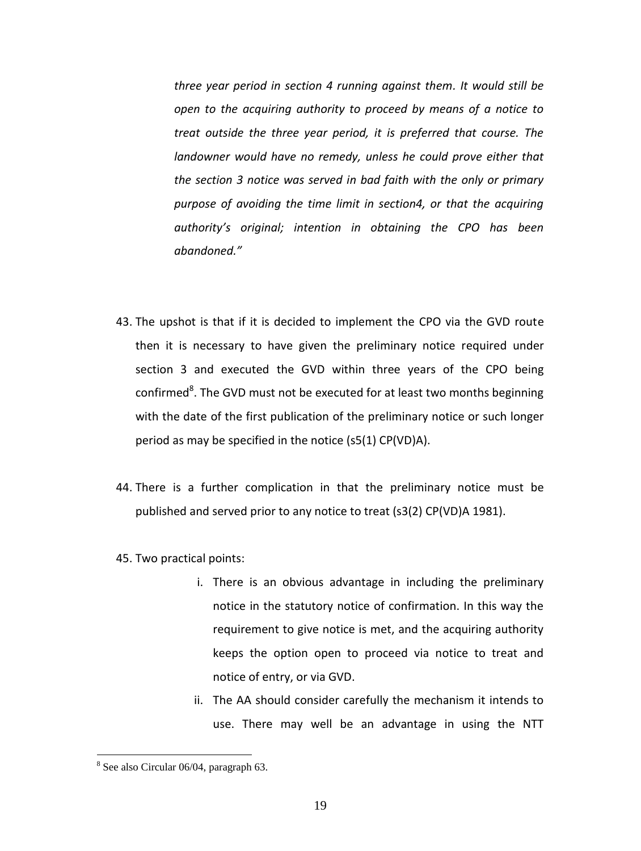*three year period in section 4 running against them. It would still be open to the acquiring authority to proceed by means of a notice to treat outside the three year period, it is preferred that course. The landowner would have no remedy, unless he could prove either that the section 3 notice was served in bad faith with the only or primary purpose of avoiding the time limit in section4, or that the acquiring authority's original; intention in obtaining the CPO has been abandoned."*

- 43. The upshot is that if it is decided to implement the CPO via the GVD route then it is necessary to have given the preliminary notice required under section 3 and executed the GVD within three years of the CPO being confirmed<sup>8</sup>. The GVD must not be executed for at least two months beginning with the date of the first publication of the preliminary notice or such longer period as may be specified in the notice (s5(1) CP(VD)A).
- 44. There is a further complication in that the preliminary notice must be published and served prior to any notice to treat (s3(2) CP(VD)A 1981).
- 45. Two practical points:
	- i. There is an obvious advantage in including the preliminary notice in the statutory notice of confirmation. In this way the requirement to give notice is met, and the acquiring authority keeps the option open to proceed via notice to treat and notice of entry, or via GVD.
	- ii. The AA should consider carefully the mechanism it intends to use. There may well be an advantage in using the NTT

<sup>8</sup> See also Circular 06/04, paragraph 63.